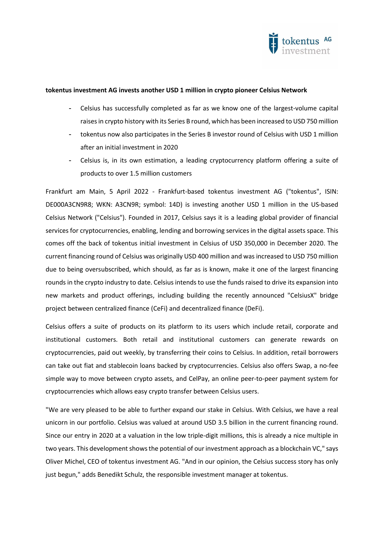

## tokentus investment AG invests another USD 1 million in crypto pioneer Celsius Network

- Celsius has successfully completed as far as we know one of the largest-volume capital raises in crypto history with its Series B round, which has been increased to USD 750 million
- tokentus now also participates in the Series B investor round of Celsius with USD 1 million after an initial investment in 2020
- Celsius is, in its own estimation, a leading cryptocurrency platform offering a suite of products to over 1.5 million customers

Frankfurt am Main, 5 April 2022 - Frankfurt-based tokentus investment AG ("tokentus", ISIN: DE000A3CN9R8; WKN: A3CN9R; symbol: 14D) is investing another USD 1 million in the US-based Celsius Network ("Celsius"). Founded in 2017, Celsius says it is a leading global provider of financial services for cryptocurrencies, enabling, lending and borrowing services in the digital assets space. This comes off the back of tokentus initial investment in Celsius of USD 350,000 in December 2020. The current financing round of Celsius was originally USD 400 million and was increased to USD 750 million due to being oversubscribed, which should, as far as is known, make it one of the largest financing rounds in the crypto industry to date. Celsius intends to use the funds raised to drive its expansion into new markets and product offerings, including building the recently announced "CelsiusX" bridge project between centralized finance (CeFi) and decentralized finance (DeFi).

Celsius offers a suite of products on its platform to its users which include retail, corporate and institutional customers. Both retail and institutional customers can generate rewards on cryptocurrencies, paid out weekly, by transferring their coins to Celsius. In addition, retail borrowers can take out fiat and stablecoin loans backed by cryptocurrencies. Celsius also offers Swap, a no-fee simple way to move between crypto assets, and CelPay, an online peer-to-peer payment system for cryptocurrencies which allows easy crypto transfer between Celsius users.

"We are very pleased to be able to further expand our stake in Celsius. With Celsius, we have a real unicorn in our portfolio. Celsius was valued at around USD 3.5 billion in the current financing round. Since our entry in 2020 at a valuation in the low triple-digit millions, this is already a nice multiple in two years. This development shows the potential of our investment approach as a blockchain VC," says Oliver Michel, CEO of tokentus investment AG. "And in our opinion, the Celsius success story has only just begun," adds Benedikt Schulz, the responsible investment manager at tokentus.